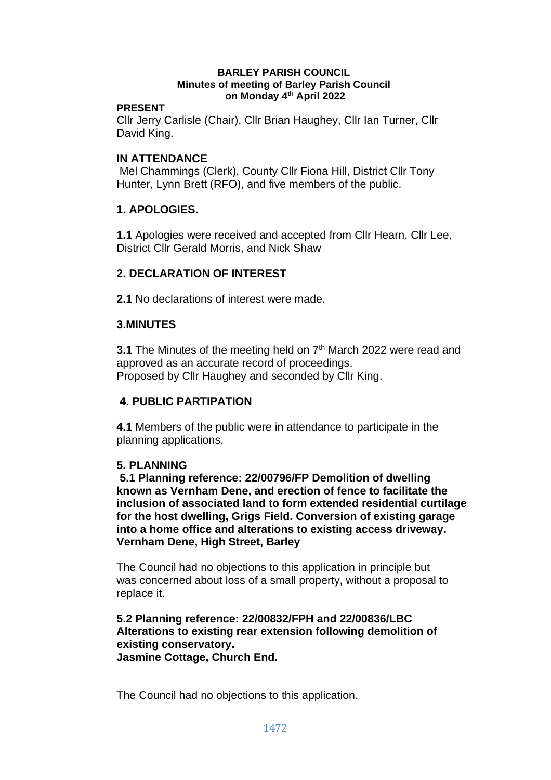#### **BARLEY PARISH COUNCIL Minutes of meeting of Barley Parish Council on Monday 4 th April 2022**

### **PRESENT**

Cllr Jerry Carlisle (Chair), Cllr Brian Haughey, Cllr Ian Turner, Cllr David King.

## **IN ATTENDANCE**

Mel Chammings (Clerk), County Cllr Fiona Hill, District Cllr Tony Hunter, Lynn Brett (RFO), and five members of the public.

# **1. APOLOGIES.**

**1.1** Apologies were received and accepted from Cllr Hearn, Cllr Lee, District Cllr Gerald Morris, and Nick Shaw

# **2. DECLARATION OF INTEREST**

**2.1** No declarations of interest were made.

### **3.MINUTES**

**3.1** The Minutes of the meeting held on 7<sup>th</sup> March 2022 were read and approved as an accurate record of proceedings. Proposed by Cllr Haughey and seconded by Cllr King.

# **4. PUBLIC PARTIPATION**

**4.1** Members of the public were in attendance to participate in the planning applications.

### **5. PLANNING**

**5.1 Planning reference: 22/00796/FP Demolition of dwelling known as Vernham Dene, and erection of fence to facilitate the inclusion of associated land to form extended residential curtilage for the host dwelling, Grigs Field. Conversion of existing garage into a home office and alterations to existing access driveway. Vernham Dene, High Street, Barley**

The Council had no objections to this application in principle but was concerned about loss of a small property, without a proposal to replace it.

### **5.2 Planning reference: 22/00832/FPH and 22/00836/LBC Alterations to existing rear extension following demolition of existing conservatory. Jasmine Cottage, Church End.**

The Council had no objections to this application.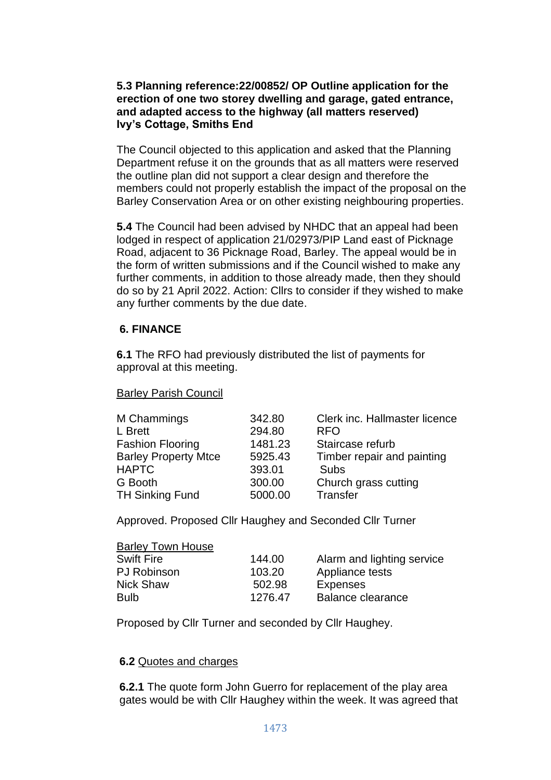## **5.3 Planning reference:22/00852/ OP Outline application for the erection of one two storey dwelling and garage, gated entrance, and adapted access to the highway (all matters reserved) Ivy's Cottage, Smiths End**

The Council objected to this application and asked that the Planning Department refuse it on the grounds that as all matters were reserved the outline plan did not support a clear design and therefore the members could not properly establish the impact of the proposal on the Barley Conservation Area or on other existing neighbouring properties.

**5.4** The Council had been advised by NHDC that an appeal had been lodged in respect of application 21/02973/PIP Land east of Picknage Road, adjacent to 36 Picknage Road, Barley. The appeal would be in the form of written submissions and if the Council wished to make any further comments, in addition to those already made, then they should do so by 21 April 2022. Action: Cllrs to consider if they wished to make any further comments by the due date.

## **6. FINANCE**

**6.1** The RFO had previously distributed the list of payments for approval at this meeting.

### Barley Parish Council

| M Chammings                 | 342.80  | Clerk inc. Hallmaster licence |
|-----------------------------|---------|-------------------------------|
| L Brett                     | 294.80  | <b>RFO</b>                    |
| <b>Fashion Flooring</b>     | 1481.23 | Staircase refurb              |
| <b>Barley Property Mtce</b> | 5925.43 | Timber repair and painting    |
| <b>HAPTC</b>                | 393.01  | Subs                          |
| G Booth                     | 300.00  | Church grass cutting          |
| <b>TH Sinking Fund</b>      | 5000.00 | Transfer                      |
|                             |         |                               |

Approved. Proposed Cllr Haughey and Seconded Cllr Turner

#### Barley Town House

| 144.00  | Alarm and lighting service |
|---------|----------------------------|
| 103.20  | Appliance tests            |
| 502.98  | Expenses                   |
| 1276.47 | <b>Balance clearance</b>   |
|         |                            |

Proposed by Cllr Turner and seconded by Cllr Haughey.

#### **6.2** Quotes and charges

**6.2.1** The quote form John Guerro for replacement of the play area gates would be with Cllr Haughey within the week. It was agreed that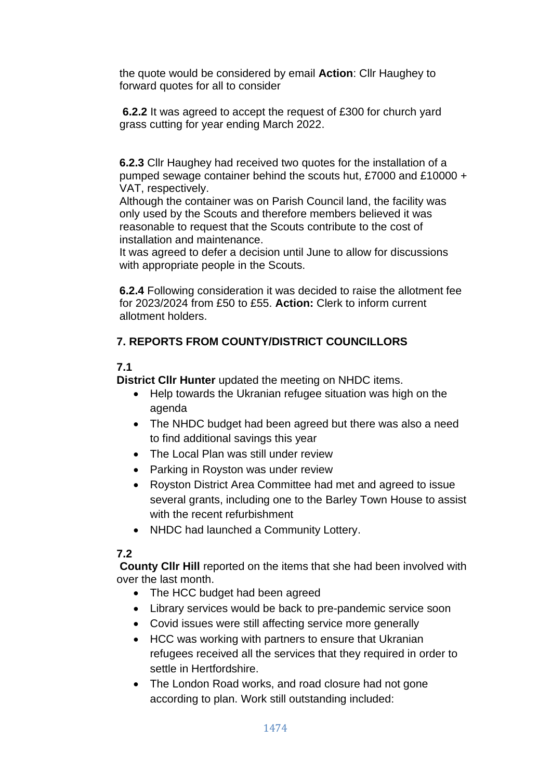the quote would be considered by email **Action**: Cllr Haughey to forward quotes for all to consider

**6.2.2** It was agreed to accept the request of £300 for church yard grass cutting for year ending March 2022.

**6.2.3** Cllr Haughey had received two quotes for the installation of a pumped sewage container behind the scouts hut, £7000 and £10000 + VAT, respectively.

Although the container was on Parish Council land, the facility was only used by the Scouts and therefore members believed it was reasonable to request that the Scouts contribute to the cost of installation and maintenance.

It was agreed to defer a decision until June to allow for discussions with appropriate people in the Scouts.

**6.2.4** Following consideration it was decided to raise the allotment fee for 2023/2024 from £50 to £55. **Action:** Clerk to inform current allotment holders.

# **7. REPORTS FROM COUNTY/DISTRICT COUNCILLORS**

# **7.1**

**District Cllr Hunter** updated the meeting on NHDC items.

- Help towards the Ukranian refugee situation was high on the agenda
- The NHDC budget had been agreed but there was also a need to find additional savings this year
- The Local Plan was still under review
- Parking in Royston was under review
- Royston District Area Committee had met and agreed to issue several grants, including one to the Barley Town House to assist with the recent refurbishment
- NHDC had launched a Community Lottery.

# **7.2**

**County Cllr Hill** reported on the items that she had been involved with over the last month.

- The HCC budget had been agreed
- Library services would be back to pre-pandemic service soon
- Covid issues were still affecting service more generally
- HCC was working with partners to ensure that Ukranian refugees received all the services that they required in order to settle in Hertfordshire.
- The London Road works, and road closure had not gone according to plan. Work still outstanding included: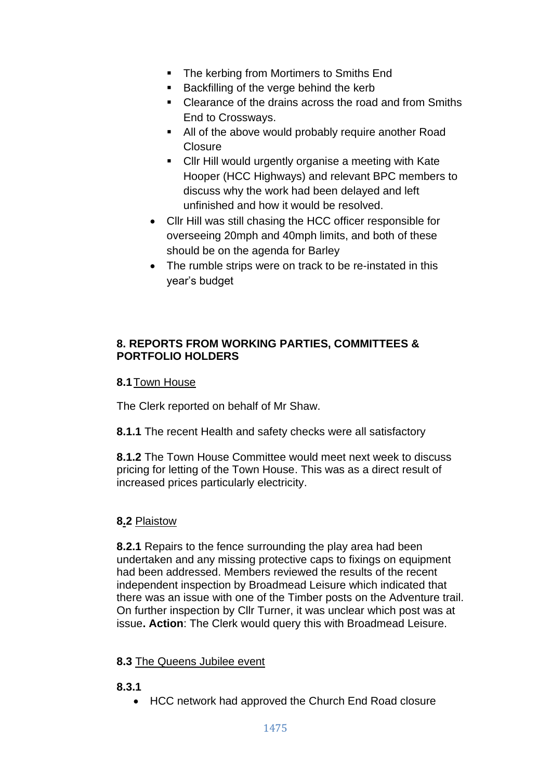- The kerbing from Mortimers to Smiths End
- Backfilling of the verge behind the kerb
- Clearance of the drains across the road and from Smiths End to Crossways.
- All of the above would probably require another Road **Closure**
- **EXECULTE:** Cllr Hill would urgently organise a meeting with Kate Hooper (HCC Highways) and relevant BPC members to discuss why the work had been delayed and left unfinished and how it would be resolved.
- Cllr Hill was still chasing the HCC officer responsible for overseeing 20mph and 40mph limits, and both of these should be on the agenda for Barley
- The rumble strips were on track to be re-instated in this year's budget

# **8. REPORTS FROM WORKING PARTIES, COMMITTEES & PORTFOLIO HOLDERS**

# **8.1**Town House

The Clerk reported on behalf of Mr Shaw.

**8.1.1** The recent Health and safety checks were all satisfactory

**8.1.2** The Town House Committee would meet next week to discuss pricing for letting of the Town House. This was as a direct result of increased prices particularly electricity.

# **8.2** Plaistow

**8.2.1** Repairs to the fence surrounding the play area had been undertaken and any missing protective caps to fixings on equipment had been addressed. Members reviewed the results of the recent independent inspection by Broadmead Leisure which indicated that there was an issue with one of the Timber posts on the Adventure trail. On further inspection by Cllr Turner, it was unclear which post was at issue**. Action**: The Clerk would query this with Broadmead Leisure.

# **8.3** The Queens Jubilee event

- **8.3.1**
	- HCC network had approved the Church End Road closure